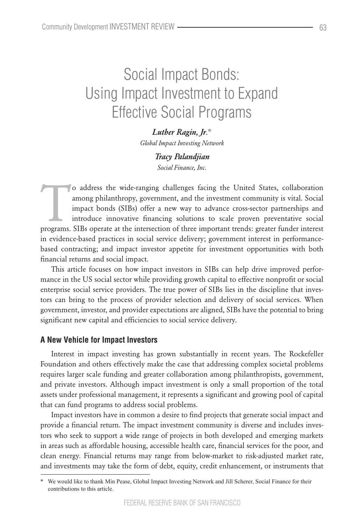# Social Impact Bonds: Using Impact Investment to Expand Effective Social Programs

## *Luther Ragin, Jr*.\*

*Global Impact Investing Network*

## *Tracy Palandjian Social Finance, Inc.*

o address the wide-ranging challenges facing the United States, collaboration among philanthropy, government, and the investment community is vital. Social impact bonds (SIBs) offer a new way to advance cross-sector partne among philanthropy, government, and the investment community is vital. Social impact bonds (SIBs) offer a new way to advance cross-sector partnerships and introduce innovative financing solutions to scale proven preventative social programs. SIBs operate at the intersection of three important trends: greater funder interest in evidence-based practices in social service delivery; government interest in performancebased contracting; and impact investor appetite for investment opportunities with both financial returns and social impact.

This article focuses on how impact investors in SIBs can help drive improved performance in the US social sector while providing growth capital to effective nonprofit or social enterprise social service providers. The true power of SIBs lies in the discipline that investors can bring to the process of provider selection and delivery of social services. When government, investor, and provider expectations are aligned, SIBs have the potential to bring significant new capital and efficiencies to social service delivery.

## **A New Vehicle for Impact Investors**

Interest in impact investing has grown substantially in recent years. The Rockefeller Foundation and others effectively make the case that addressing complex societal problems requires larger scale funding and greater collaboration among philanthropists, government, and private investors. Although impact investment is only a small proportion of the total assets under professional management, it represents a significant and growing pool of capital that can fund programs to address social problems.

Impact investors have in common a desire to find projects that generate social impact and provide a financial return. The impact investment community is diverse and includes investors who seek to support a wide range of projects in both developed and emerging markets in areas such as affordable housing, accessible health care, financial services for the poor, and clean energy. Financial returns may range from below-market to risk-adjusted market rate, and investments may take the form of debt, equity, credit enhancement, or instruments that

We would like to thank Min Pease, Global Impact Investing Network and Jill Scherer, Social Finance for their contributions to this article.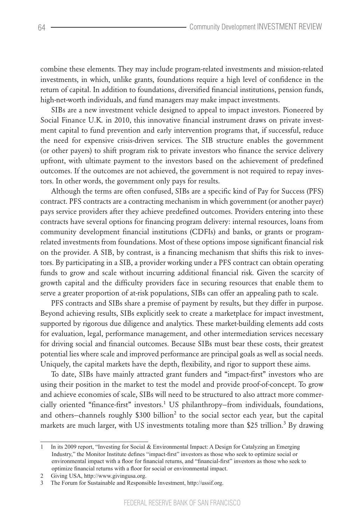combine these elements. They may include program-related investments and mission-related investments, in which, unlike grants, foundations require a high level of confidence in the return of capital. In addition to foundations, diversified financial institutions, pension funds, high-net-worth individuals, and fund managers may make impact investments.

SIBs are a new investment vehicle designed to appeal to impact investors. Pioneered by Social Finance U.K. in 2010, this innovative financial instrument draws on private investment capital to fund prevention and early intervention programs that, if successful, reduce the need for expensive crisis-driven services. The SIB structure enables the government (or other payers) to shift program risk to private investors who finance the service delivery upfront, with ultimate payment to the investors based on the achievement of predefined outcomes. If the outcomes are not achieved, the government is not required to repay investors. In other words, the government only pays for results.

Although the terms are often confused, SIBs are a specific kind of Pay for Success (PFS) contract. PFS contracts are a contracting mechanism in which government (or another payer) pays service providers after they achieve predefined outcomes. Providers entering into these contracts have several options for financing program delivery: internal resources, loans from community development financial institutions (CDFIs) and banks, or grants or programrelated investments from foundations. Most of these options impose significant financial risk on the provider. A SIB, by contrast, is a financing mechanism that shifts this risk to investors. By participating in a SIB, a provider working under a PFS contract can obtain operating funds to grow and scale without incurring additional financial risk. Given the scarcity of growth capital and the difficulty providers face in securing resources that enable them to serve a greater proportion of at-risk populations, SIBs can offer an appealing path to scale.

PFS contracts and SIBs share a premise of payment by results, but they differ in purpose. Beyond achieving results, SIBs explicitly seek to create a marketplace for impact investment, supported by rigorous due diligence and analytics. These market-building elements add costs for evaluation, legal, performance management, and other intermediation services necessary for driving social and financial outcomes. Because SIBs must bear these costs, their greatest potential lies where scale and improved performance are principal goals as well as social needs. Uniquely, the capital markets have the depth, flexibility, and rigor to support these aims.

To date, SIBs have mainly attracted grant funders and "impact-first" investors who are using their position in the market to test the model and provide proof-of-concept. To grow and achieve economies of scale, SIBs will need to be structured to also attract more commercially oriented "finance-first" investors.<sup>1</sup> US philanthropy–from individuals, foundations, and others–channels roughly \$300 billion<sup>2</sup> to the social sector each year, but the capital markets are much larger, with US investments totaling more than \$25 trillion.<sup>3</sup> By drawing

<sup>1</sup> In its 2009 report, "Investing for Social & Environmental Impact: A Design for Catalyzing an Emerging Industry," the Monitor Institute defines "impact-first" investors as those who seek to optimize social or environmental impact with a floor for financial returns, and "financial-first" investors as those who seek to optimize financial returns with a floor for social or environmental impact.

<sup>2</sup> Giving USA, http://www.givingusa.org.

<sup>3</sup> The Forum for Sustainable and Responsible Investment, http://ussif.org.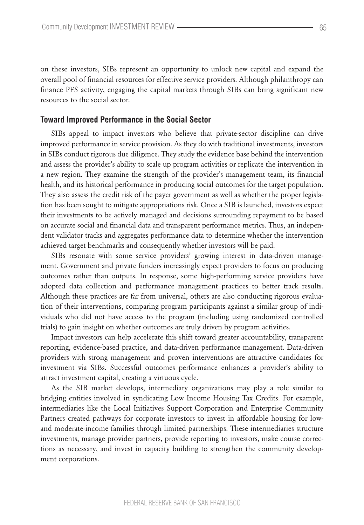on these investors, SIBs represent an opportunity to unlock new capital and expand the overall pool of financial resources for effective service providers. Although philanthropy can finance PFS activity, engaging the capital markets through SIBs can bring significant new resources to the social sector.

#### **Toward Improved Performance in the Social Sector**

SIBs appeal to impact investors who believe that private-sector discipline can drive improved performance in service provision. As they do with traditional investments, investors in SIBs conduct rigorous due diligence. They study the evidence base behind the intervention and assess the provider's ability to scale up program activities or replicate the intervention in a new region. They examine the strength of the provider's management team, its financial health, and its historical performance in producing social outcomes for the target population. They also assess the credit risk of the payer government as well as whether the proper legislation has been sought to mitigate appropriations risk. Once a SIB is launched, investors expect their investments to be actively managed and decisions surrounding repayment to be based on accurate social and financial data and transparent performance metrics. Thus, an independent validator tracks and aggregates performance data to determine whether the intervention achieved target benchmarks and consequently whether investors will be paid.

SIBs resonate with some service providers' growing interest in data-driven management. Government and private funders increasingly expect providers to focus on producing outcomes rather than outputs. In response, some high-performing service providers have adopted data collection and performance management practices to better track results. Although these practices are far from universal, others are also conducting rigorous evaluation of their interventions, comparing program participants against a similar group of individuals who did not have access to the program (including using randomized controlled trials) to gain insight on whether outcomes are truly driven by program activities.

Impact investors can help accelerate this shift toward greater accountability, transparent reporting, evidence-based practice, and data-driven performance management. Data-driven providers with strong management and proven interventions are attractive candidates for investment via SIBs. Successful outcomes performance enhances a provider's ability to attract investment capital, creating a virtuous cycle.

As the SIB market develops, intermediary organizations may play a role similar to bridging entities involved in syndicating Low Income Housing Tax Credits. For example, intermediaries like the Local Initiatives Support Corporation and Enterprise Community Partners created pathways for corporate investors to invest in affordable housing for lowand moderate-income families through limited partnerships. These intermediaries structure investments, manage provider partners, provide reporting to investors, make course corrections as necessary, and invest in capacity building to strengthen the community development corporations.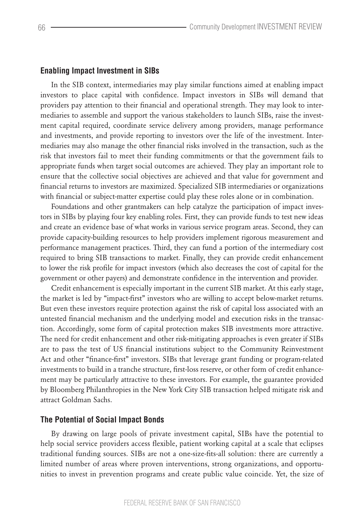#### **Enabling Impact Investment in SIBs**

In the SIB context, intermediaries may play similar functions aimed at enabling impact investors to place capital with confidence. Impact investors in SIBs will demand that providers pay attention to their financial and operational strength. They may look to intermediaries to assemble and support the various stakeholders to launch SIBs, raise the investment capital required, coordinate service delivery among providers, manage performance and investments, and provide reporting to investors over the life of the investment. Intermediaries may also manage the other financial risks involved in the transaction, such as the risk that investors fail to meet their funding commitments or that the government fails to appropriate funds when target social outcomes are achieved. They play an important role to ensure that the collective social objectives are achieved and that value for government and financial returns to investors are maximized. Specialized SIB intermediaries or organizations with financial or subject-matter expertise could play these roles alone or in combination.

Foundations and other grantmakers can help catalyze the participation of impact investors in SIBs by playing four key enabling roles. First, they can provide funds to test new ideas and create an evidence base of what works in various service program areas. Second, they can provide capacity-building resources to help providers implement rigorous measurement and performance management practices. Third, they can fund a portion of the intermediary cost required to bring SIB transactions to market. Finally, they can provide credit enhancement to lower the risk profile for impact investors (which also decreases the cost of capital for the government or other payers) and demonstrate confidence in the intervention and provider.

Credit enhancement is especially important in the current SIB market. At this early stage, the market is led by "impact-first" investors who are willing to accept below-market returns. But even these investors require protection against the risk of capital loss associated with an untested financial mechanism and the underlying model and execution risks in the transaction. Accordingly, some form of capital protection makes SIB investments more attractive. The need for credit enhancement and other risk-mitigating approaches is even greater if SIBs are to pass the test of US financial institutions subject to the Community Reinvestment Act and other "finance-first" investors. SIBs that leverage grant funding or program-related investments to build in a tranche structure, first-loss reserve, or other form of credit enhancement may be particularly attractive to these investors. For example, the guarantee provided by Bloomberg Philanthropies in the New York City SIB transaction helped mitigate risk and attract Goldman Sachs.

#### **The Potential of Social Impact Bonds**

By drawing on large pools of private investment capital, SIBs have the potential to help social service providers access flexible, patient working capital at a scale that eclipses traditional funding sources. SIBs are not a one-size-fits-all solution: there are currently a limited number of areas where proven interventions, strong organizations, and opportunities to invest in prevention programs and create public value coincide. Yet, the size of